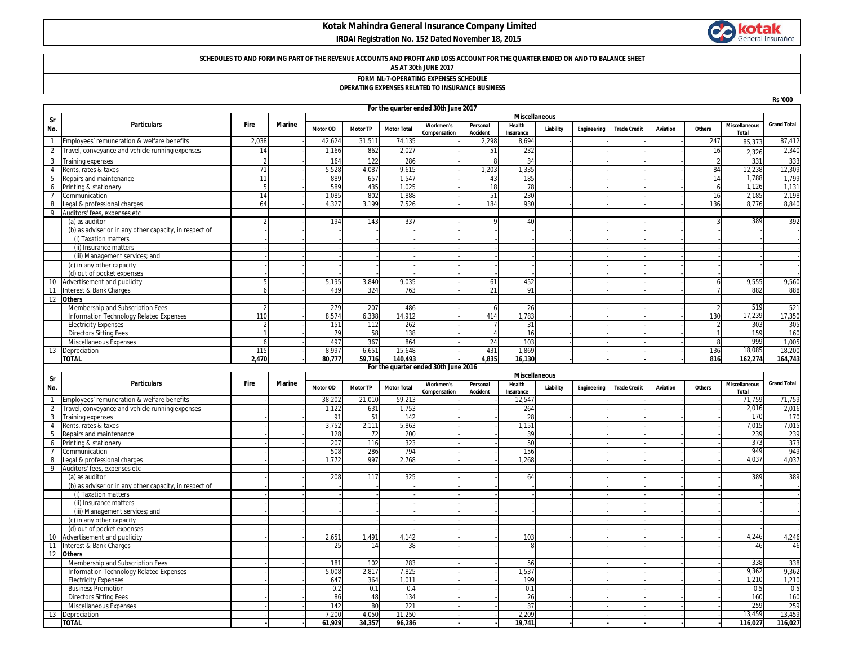# **Kotak Mahindra General Insurance Company Limited**

 **IRDAI Registration No. 152 Dated November 18, 2015**



**Rs '000**

## **SCHEDULES TO AND FORMING PART OF THE REVENUE ACCOUNTS AND PROFIT AND LOSS ACCOUNT FOR THE QUARTER ENDED ON AND TO BALANCE SHEET**

**AS AT 30th JUNE 2017**

**FORM NL-7-OPERATING EXPENSES SCHEDULE**

#### **OPERATING EXPENSES RELATED TO INSURANCE BUSINESS**

|                |                                                                             | For the quarter ended 30th June 2017<br><b>Miscellaneous</b> |               |                 |                 |                    |                                      |                             |                      |           |             |                     |          |                |                               |                    |
|----------------|-----------------------------------------------------------------------------|--------------------------------------------------------------|---------------|-----------------|-----------------|--------------------|--------------------------------------|-----------------------------|----------------------|-----------|-------------|---------------------|----------|----------------|-------------------------------|--------------------|
| Sr<br>No.      | <b>Particulars</b>                                                          | Fire                                                         | Marine        | Motor OD        | <b>Motor TP</b> | <b>Motor Total</b> | <b>Workmen's</b><br>Compensation     | Personal<br>Accident        | Health<br>Insurance  | Liability | Engineering | <b>Trade Credit</b> | Aviation | Others         | <b>Miscellaneous</b><br>Total | <b>Grand Total</b> |
| $\overline{1}$ | Employees' remuneration & welfare benefits                                  | 2,038                                                        |               | 42,624          | 31,511          | 74,135             |                                      | 2,298                       | 8,694                |           |             |                     |          | 247            | 85,373                        | 87,412             |
| $\overline{2}$ | Travel, conveyance and vehicle running expenses                             | 14                                                           |               | 1,166           | 862             | 2,027              |                                      | 51                          | 232                  |           |             |                     |          | 16             | 2.326                         | 2,340              |
| $\overline{3}$ | Training expenses                                                           |                                                              |               | 164             | 122             | 286                |                                      | 8                           | 34                   |           |             |                     |          | $\overline{2}$ | 331                           | 333                |
| $\overline{4}$ | Rents, rates & taxes                                                        | 71                                                           |               | 5,528           | 4,087           | 9,615              |                                      | 1.203                       | 1,335                |           |             |                     |          | 84             | 12,238                        | 12,309             |
| $\overline{5}$ | Repairs and maintenance                                                     | 11                                                           |               | 889             | 657             | 1,547              |                                      | 43                          | 185                  |           |             |                     |          | 14             | 1,788                         | 1,799              |
| 6              | Printing & stationery                                                       | 5                                                            |               | 589             | 435             | 1.025              |                                      | 18                          | 78                   |           |             |                     |          | 6              | 1,126                         | 1,131              |
| $\overline{7}$ | Communication                                                               | 14                                                           |               | 1,085           | 802             | 1,888              |                                      | 51                          | 230                  |           |             |                     |          | 16             | 2,185                         | 2,198              |
| 8              | Legal & professional charges                                                | 64                                                           |               | 4,327           | 3,199           | 7,526              |                                      | 184                         | 930                  |           |             |                     |          | 136            | 8,776                         | 8,840              |
| 9              | Auditors' fees, expenses etc                                                |                                                              |               |                 |                 |                    |                                      |                             |                      |           |             |                     |          |                |                               |                    |
|                | (a) as auditor                                                              |                                                              |               | 194             | 143             | 337                |                                      |                             | 40                   |           |             |                     |          |                | 389                           | 392                |
|                | (b) as adviser or in any other capacity, in respect of                      |                                                              |               |                 |                 |                    |                                      |                             |                      |           |             |                     |          |                |                               |                    |
|                | (i) Taxation matters                                                        |                                                              |               |                 |                 |                    |                                      |                             |                      |           |             |                     |          |                |                               |                    |
|                | (ii) Insurance matters                                                      |                                                              |               |                 |                 |                    |                                      |                             |                      |           |             |                     |          |                |                               |                    |
|                | (iii) Management services; and                                              |                                                              |               |                 |                 |                    |                                      |                             |                      |           |             |                     |          |                |                               |                    |
|                | (c) in any other capacity                                                   |                                                              |               |                 |                 |                    |                                      |                             |                      |           |             |                     |          |                |                               |                    |
|                | (d) out of pocket expenses                                                  |                                                              |               |                 |                 |                    |                                      |                             |                      |           |             |                     |          |                |                               |                    |
| 10             | Advertisement and publicity                                                 |                                                              |               | 5,195           | 3,840           | 9,035              |                                      | 61                          | 452<br>91            |           |             |                     |          | 6              | 9,555                         | 9,560              |
|                | 11 Interest & Bank Charges                                                  |                                                              |               | 439             | 324             | 763                |                                      | 21                          |                      |           |             |                     |          |                | 882                           | 888                |
| 12             | <b>Others</b>                                                               |                                                              |               | 279             | 207             | 486                |                                      |                             | 26                   |           |             |                     |          |                | 519                           | 521                |
|                | Membership and Subscription Fees<br>Information Technology Related Expenses | 110                                                          |               | 8.574           | 6.338           | 14.912             |                                      | 6<br>414                    | 1.783                |           |             |                     |          | 130            | 17.239                        | 17,350             |
|                | <b>Electricity Expenses</b>                                                 |                                                              |               | 151             | 112             | 262                |                                      | $\overline{7}$              | 31                   |           |             |                     |          | $\overline{2}$ | 303                           | 305                |
|                | <b>Directors Sitting Fees</b>                                               |                                                              |               | 79              | 58              | 138                |                                      | $\overline{4}$              | 16                   |           |             |                     |          | $\mathbf{1}$   | 159                           | 160                |
|                | Miscellaneous Expenses                                                      |                                                              |               | 497             | 367             | 864                |                                      | 24                          | 103                  |           |             |                     |          | 8              | 999                           | 1,005              |
|                | 13 Depreciation                                                             | 115                                                          |               | 8.997           | 6,651           | 15,648             |                                      | 431                         | 1,869                |           |             |                     |          | 136            | 18,085                        | 18,200             |
|                | <b>TOTAL</b>                                                                | 2,470                                                        |               | 80,777          | 59,716          | 140,493            |                                      | 4,835                       | 16,130               |           |             |                     |          | 816            | 162,274                       | 164,743            |
|                |                                                                             |                                                              |               |                 |                 |                    |                                      |                             |                      |           |             |                     |          |                |                               |                    |
|                |                                                                             |                                                              |               |                 |                 |                    | For the quarter ended 30th June 2016 |                             |                      |           |             |                     |          |                |                               |                    |
|                |                                                                             |                                                              |               |                 |                 |                    |                                      |                             | <b>Miscellaneous</b> |           |             |                     |          |                |                               |                    |
| Sr<br>No.      | <b>Particulars</b>                                                          | Fire                                                         | <b>Marine</b> | Motor OD        | <b>Motor TP</b> | <b>Motor Total</b> | Workmen's<br>Compensation            | Personal<br><b>Accident</b> | Health<br>Insurance  | Liability | Engineering | <b>Trade Credit</b> | Aviation | Others         | <b>Miscellaneous</b><br>Total | <b>Grand Total</b> |
| $\overline{1}$ | Employees' remuneration & welfare benefits                                  |                                                              |               | 38.202          | 21,010          | 59,213             |                                      |                             | 12.547               |           |             |                     |          |                | 71,759                        | 71,759             |
| 2              | Travel, conveyance and vehicle running expenses                             |                                                              |               | 1.122           | 631             | 1,753              |                                      |                             | 264                  |           |             |                     |          |                | 2,016                         | 2,016              |
| $\mathbf{3}$   | Training expenses                                                           |                                                              |               | 91              | 51              | 142                |                                      |                             | 28                   |           |             |                     |          |                | 170                           | 170                |
| $\overline{4}$ | Rents, rates & taxes                                                        |                                                              |               | 3.752           | 2.111           | 5.863              |                                      |                             | 1.151                |           |             |                     |          |                | 7.015                         | 7,015              |
| 5              | Repairs and maintenance                                                     |                                                              |               | 128             | 72              | 200                |                                      |                             | 39                   |           |             |                     |          |                | 239                           | 239                |
| 6              | Printing & stationery                                                       |                                                              |               | 207             | 116             | 323                |                                      |                             | 50                   |           |             |                     |          |                | 373                           | 373                |
| $\overline{7}$ | Communication                                                               |                                                              |               | 508             | 286             | 794                |                                      |                             | 156                  |           |             |                     |          |                | 949                           | 949                |
| 8              | Legal & professional charges                                                |                                                              |               | 1,772           | 997             | 2,768              |                                      |                             | 1.268                |           |             |                     |          |                | 4.037                         | 4,037              |
|                | 9 Auditors' fees, expenses etc                                              |                                                              |               |                 |                 |                    |                                      |                             |                      |           |             |                     |          |                |                               |                    |
|                | (a) as auditor                                                              |                                                              |               | 208             | 117             | 325                |                                      |                             | 64                   |           |             |                     |          |                | 389                           | 389                |
|                | (b) as adviser or in any other capacity, in respect of                      |                                                              |               |                 |                 |                    |                                      |                             |                      |           |             |                     |          |                |                               |                    |
|                | (i) Taxation matters                                                        |                                                              |               |                 |                 |                    |                                      |                             |                      |           |             |                     |          |                |                               |                    |
|                | (ii) Insurance matters                                                      |                                                              |               |                 |                 |                    |                                      |                             |                      |           |             |                     |          |                |                               |                    |
|                | (iii) Management services; and<br>(c) in any other capacity                 |                                                              |               |                 |                 |                    |                                      |                             |                      |           |             |                     |          |                |                               |                    |
|                | (d) out of pocket expenses                                                  |                                                              |               |                 |                 |                    |                                      |                             |                      |           |             |                     |          |                |                               |                    |
| 10             | Advertisement and publicity                                                 |                                                              |               | 2,651           | 1,491           | 4,142              |                                      |                             | 103                  |           |             |                     |          |                | 4,246                         | 4,246              |
| 11             | Interest & Bank Charges                                                     |                                                              |               | 25              | 14              | 38                 |                                      |                             | R                    |           |             |                     |          |                | 46                            | 46                 |
| 12             | <b>Others</b>                                                               |                                                              |               |                 |                 |                    |                                      |                             |                      |           |             |                     |          |                |                               |                    |
|                | Membership and Subscription Fees                                            |                                                              |               | 181             | 102             | 283                |                                      |                             | 56                   |           |             |                     |          |                | 338                           | 338                |
|                | Information Technology Related Expenses                                     |                                                              |               | 5,008           | 2,817           | 7,825              |                                      |                             | 1,537                |           |             |                     |          |                | 9,362                         | 9,362              |
|                | <b>Electricity Expenses</b>                                                 |                                                              |               | 647             | 364             | 1.011              |                                      |                             | 199                  |           |             |                     |          |                | 1,210                         | 1,210              |
|                | <b>Business Promotion</b>                                                   |                                                              |               | 0.2             | 0.1             | 0.4                |                                      |                             | 0.1                  |           |             |                     |          |                | 0.5                           | 0.5                |
|                | <b>Directors Sitting Fees</b>                                               |                                                              |               | 86              | 48              | 134                |                                      |                             | 26                   |           |             |                     |          |                | 160                           | 160                |
|                | Miscellaneous Expenses                                                      |                                                              |               | 142             | 80              | 221                |                                      |                             | 37                   |           |             |                     |          |                | 259                           | 259                |
| 13             | Depreciation<br><b>TOTAL</b>                                                |                                                              |               | 7.200<br>61.929 | 4.050<br>34.357 | 11.250<br>96,286   |                                      |                             | 2.209<br>19.741      |           |             |                     |          |                | 13.459<br>116.027             | 13,459<br>116,027  |